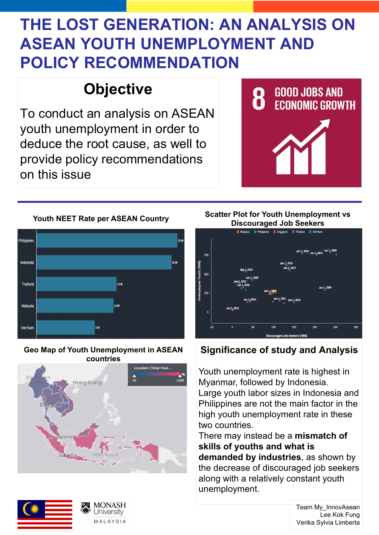# **THE LOST GENERATION: AN ANALYSIS ON ASEAN YOUTH UNEMPLOYMENT AND POLICY RECOMMENDATION**

# **Objective**

### **Youth NEET Rate per ASEAN Country Scatter Plot for Youth Unemployment vs Discouraged Job Seekers**



To conduct an analysis on ASEAN youth unemployment in order to deduce the root cause, as well to provide policy recommendations on this issue





## **Significance of study and Analysis**

Youth unemployment rate is highest in Myanmar, followed by Indonesia. Large youth labor sizes in Indonesia and Philippines are not the main factor in the high youth unemployment rate in these two countries. There may instead be a **mismatch of skills of youths and what is demanded by industries**, as shown by the decrease of discouraged job seekers along with a relatively constant youth unemployment.

## **Geo Map of Youth Unemployment in ASEAN countries**





Team My\_InnovAsean Lee Kok Fung Verika Sylvia Limberta